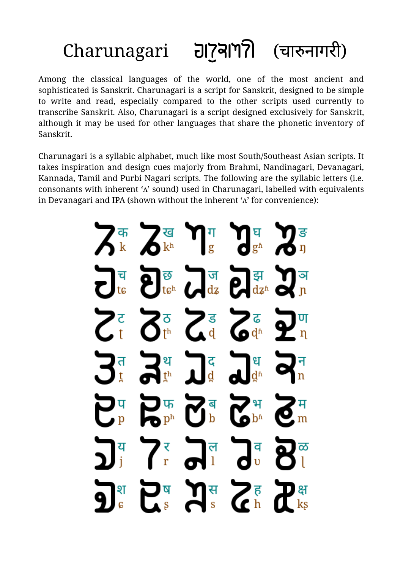## Charunagari (चारुनागरी)

Among the classical languages of the world, one of the most ancient and sophisticated is Sanskrit. Charunagari is a script for Sanskrit, designed to be simple to write and read, especially compared to the other scripts used currently to transcribe Sanskrit. Also, Charunagari is a script designed exclusively for Sanskrit, although it may be used for other languages that share the phonetic inventory of Sanskrit.

Charunagari is a syllabic alphabet, much like most South/Southeast Asian scripts. It takes inspiration and design cues majorly from Brahmi, Nandinagari, Devanagari, Kannada, Tamil and Purbi Nagari scripts. The following are the syllabic letters (i.e. consonants with inherent 'ʌ' sound) used in Charunagari, labelled with equivalents in Devanagari and IPA (shown without the inherent 'ʌ' for convenience):

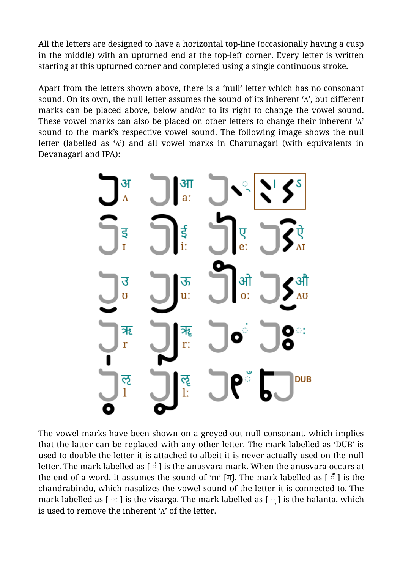All the letters are designed to have a horizontal top-line (occasionally having a cusp in the middle) with an upturned end at the top-left corner. Every letter is written starting at this upturned corner and completed using a single continuous stroke.

Apart from the letters shown above, there is a 'null' letter which has no consonant sound. On its own, the null letter assumes the sound of its inherent ' $\Lambda$ ', but different marks can be placed above, below and/or to its right to change the vowel sound. These vowel marks can also be placed on other letters to change their inherent 'ʌ' sound to the mark's respective vowel sound. The following image shows the null letter (labelled as 'ʌ') and all vowel marks in Charunagari (with equivalents in Devanagari and IPA):



The vowel marks have been shown on a greyed-out null consonant, which implies that the latter can be replaced with any other letter. The mark labelled as 'DUB' is used to double the letter it is attached to albeit it is never actually used on the null letter. The mark labelled as [ ं ] is the anusvara mark. When the anusvara occurs at the end of a word, it assumes the sound of 'm' [म]. The mark labelled as  $\lceil \frac{3}{2} \rceil$  is the chandrabindu, which nasalizes the vowel sound of the letter it is connected to. The mark labelled as  $\lceil \circ \cdot \rceil$  is the visarga. The mark labelled as  $\lceil \circ \rceil$  is the halanta, which is used to remove the inherent  $\Lambda$  of the letter.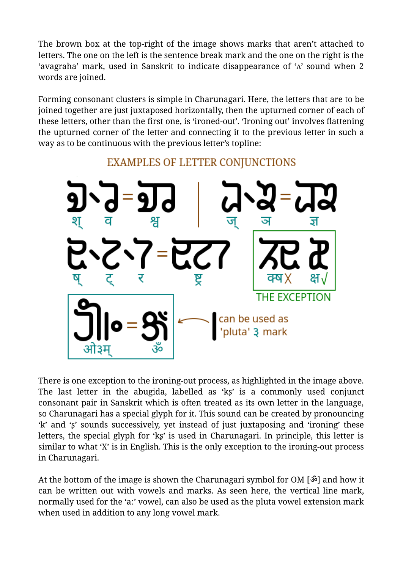The brown box at the top-right of the image shows marks that aren't attached to letters. The one on the left is the sentence break mark and the one on the right is the 'avagraha' mark, used in Sanskrit to indicate disappearance of 'ʌ' sound when 2 words are joined.

Forming consonant clusters is simple in Charunagari. Here, the letters that are to be joined together are just juxtaposed horizontally, then the upturned corner of each of these letters, other than the first one, is 'ironed-out'. 'Ironing out' involves flattening the upturned corner of the letter and connecting it to the previous letter in such a way as to be continuous with the previous letter's topline:



**EXAMPLES OF LETTER CONJUNCTIONS** 

There is one exception to the ironing-out process, as highlighted in the image above. The last letter in the abugida, labelled as 'kʂ' is a commonly used conjunct consonant pair in Sanskrit which is often treated as its own letter in the language, so Charunagari has a special glyph for it. This sound can be created by pronouncing 'k' and 'ʂ' sounds successively, yet instead of just juxtaposing and 'ironing' these letters, the special glyph for 'kʂ' is used in Charunagari. In principle, this letter is similar to what 'X' is in English. This is the only exception to the ironing-out process in Charunagari.

At the bottom of the image is shown the Charunagari symbol for OM [ॐ] and how it can be written out with vowels and marks. As seen here, the vertical line mark, normally used for the 'aː' vowel, can also be used as the pluta vowel extension mark when used in addition to any long vowel mark.